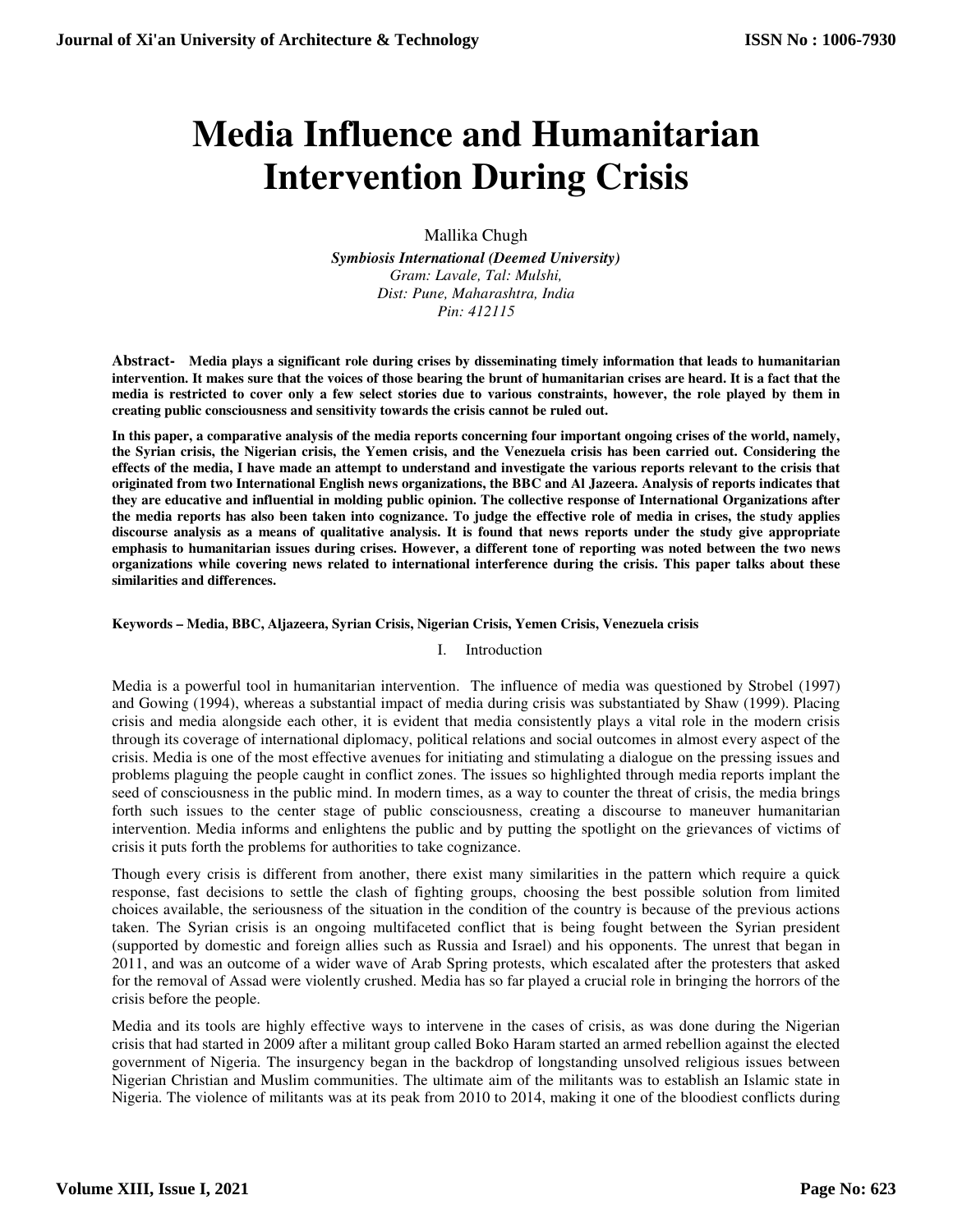# **Media Influence and Humanitarian Intervention During Crisis**

Mallika Chugh

*Symbiosis International (Deemed University) Gram: Lavale, Tal: Mulshi, Dist: Pune, Maharashtra, India Pin: 412115* 

**Abstract- Media plays a significant role during crises by disseminating timely information that leads to humanitarian intervention. It makes sure that the voices of those bearing the brunt of humanitarian crises are heard. It is a fact that the media is restricted to cover only a few select stories due to various constraints, however, the role played by them in creating public consciousness and sensitivity towards the crisis cannot be ruled out.** 

**In this paper, a comparative analysis of the media reports concerning four important ongoing crises of the world, namely, the Syrian crisis, the Nigerian crisis, the Yemen crisis, and the Venezuela crisis has been carried out. Considering the effects of the media, I have made an attempt to understand and investigate the various reports relevant to the crisis that originated from two International English news organizations, the BBC and Al Jazeera. Analysis of reports indicates that they are educative and influential in molding public opinion. The collective response of International Organizations after the media reports has also been taken into cognizance. To judge the effective role of media in crises, the study applies discourse analysis as a means of qualitative analysis. It is found that news reports under the study give appropriate emphasis to humanitarian issues during crises. However, a different tone of reporting was noted between the two news organizations while covering news related to international interference during the crisis. This paper talks about these similarities and differences.** 

## **Keywords – Media, BBC, Aljazeera, Syrian Crisis, Nigerian Crisis, Yemen Crisis, Venezuela crisis**

## I. Introduction

Media is a powerful tool in humanitarian intervention. The influence of media was questioned by Strobel (1997) and Gowing (1994), whereas a substantial impact of media during crisis was substantiated by Shaw (1999). Placing crisis and media alongside each other, it is evident that media consistently plays a vital role in the modern crisis through its coverage of international diplomacy, political relations and social outcomes in almost every aspect of the crisis. Media is one of the most effective avenues for initiating and stimulating a dialogue on the pressing issues and problems plaguing the people caught in conflict zones. The issues so highlighted through media reports implant the seed of consciousness in the public mind. In modern times, as a way to counter the threat of crisis, the media brings forth such issues to the center stage of public consciousness, creating a discourse to maneuver humanitarian intervention. Media informs and enlightens the public and by putting the spotlight on the grievances of victims of crisis it puts forth the problems for authorities to take cognizance.

Though every crisis is different from another, there exist many similarities in the pattern which require a quick response, fast decisions to settle the clash of fighting groups, choosing the best possible solution from limited choices available, the seriousness of the situation in the condition of the country is because of the previous actions taken. The Syrian crisis is an ongoing multifaceted conflict that is being fought between the Syrian president (supported by domestic and foreign allies such as Russia and Israel) and his opponents. The unrest that began in 2011, and was an outcome of a wider wave of Arab Spring protests, which escalated after the protesters that asked for the removal of Assad were violently crushed. Media has so far played a crucial role in bringing the horrors of the crisis before the people.

Media and its tools are highly effective ways to intervene in the cases of crisis, as was done during the Nigerian crisis that had started in 2009 after a militant group called Boko Haram started an armed rebellion against the elected government of Nigeria. The insurgency began in the backdrop of longstanding unsolved religious issues between Nigerian Christian and Muslim communities. The ultimate aim of the militants was to establish an Islamic state in Nigeria. The violence of militants was at its peak from 2010 to 2014, making it one of the bloodiest conflicts during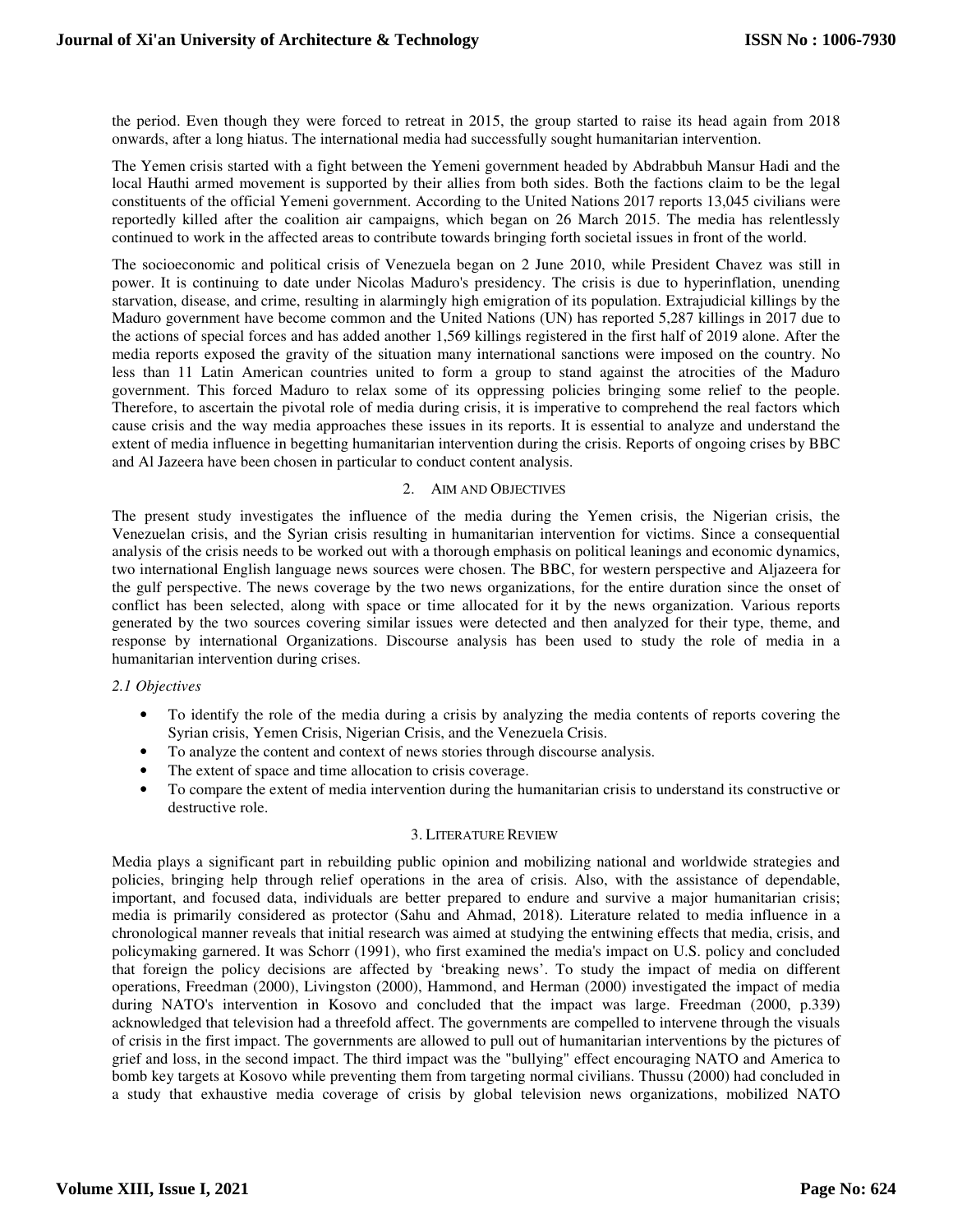the period. Even though they were forced to retreat in 2015, the group started to raise its head again from 2018 onwards, after a long hiatus. The international media had successfully sought humanitarian intervention.

The Yemen crisis started with a fight between the Yemeni government headed by Abdrabbuh Mansur Hadi and the local Hauthi armed movement is supported by their allies from both sides. Both the factions claim to be the legal constituents of the official Yemeni government. According to the United Nations 2017 reports 13,045 civilians were reportedly killed after the coalition air campaigns, which began on 26 March 2015. The media has relentlessly continued to work in the affected areas to contribute towards bringing forth societal issues in front of the world.

The socioeconomic and political crisis of Venezuela began on 2 June 2010, while President Chavez was still in power. It is continuing to date under Nicolas Maduro's presidency. The crisis is due to hyperinflation, unending starvation, disease, and crime, resulting in alarmingly high emigration of its population. Extrajudicial killings by the Maduro government have become common and the United Nations (UN) has reported 5,287 killings in 2017 due to the actions of special forces and has added another 1,569 killings registered in the first half of 2019 alone. After the media reports exposed the gravity of the situation many international sanctions were imposed on the country. No less than 11 Latin American countries united to form a group to stand against the atrocities of the Maduro government. This forced Maduro to relax some of its oppressing policies bringing some relief to the people. Therefore, to ascertain the pivotal role of media during crisis, it is imperative to comprehend the real factors which cause crisis and the way media approaches these issues in its reports. It is essential to analyze and understand the extent of media influence in begetting humanitarian intervention during the crisis. Reports of ongoing crises by BBC and Al Jazeera have been chosen in particular to conduct content analysis.

## 2. AIM AND OBJECTIVES

The present study investigates the influence of the media during the Yemen crisis, the Nigerian crisis, the Venezuelan crisis, and the Syrian crisis resulting in humanitarian intervention for victims. Since a consequential analysis of the crisis needs to be worked out with a thorough emphasis on political leanings and economic dynamics, two international English language news sources were chosen. The BBC, for western perspective and Aljazeera for the gulf perspective. The news coverage by the two news organizations, for the entire duration since the onset of conflict has been selected, along with space or time allocated for it by the news organization. Various reports generated by the two sources covering similar issues were detected and then analyzed for their type, theme, and response by international Organizations. Discourse analysis has been used to study the role of media in a humanitarian intervention during crises.

## *2.1 Objectives*

- To identify the role of the media during a crisis by analyzing the media contents of reports covering the Syrian crisis, Yemen Crisis, Nigerian Crisis, and the Venezuela Crisis.
- To analyze the content and context of news stories through discourse analysis.
- The extent of space and time allocation to crisis coverage.
- To compare the extent of media intervention during the humanitarian crisis to understand its constructive or destructive role.

## 3. LITERATURE REVIEW

Media plays a significant part in rebuilding public opinion and mobilizing national and worldwide strategies and policies, bringing help through relief operations in the area of crisis. Also, with the assistance of dependable, important, and focused data, individuals are better prepared to endure and survive a major humanitarian crisis; media is primarily considered as protector (Sahu and Ahmad, 2018). Literature related to media influence in a chronological manner reveals that initial research was aimed at studying the entwining effects that media, crisis, and policymaking garnered. It was Schorr (1991), who first examined the media's impact on U.S. policy and concluded that foreign the policy decisions are affected by 'breaking news'. To study the impact of media on different operations, Freedman (2000), Livingston (2000), Hammond, and Herman (2000) investigated the impact of media during NATO's intervention in Kosovo and concluded that the impact was large. Freedman (2000, p.339) acknowledged that television had a threefold affect. The governments are compelled to intervene through the visuals of crisis in the first impact. The governments are allowed to pull out of humanitarian interventions by the pictures of grief and loss, in the second impact. The third impact was the "bullying" effect encouraging NATO and America to bomb key targets at Kosovo while preventing them from targeting normal civilians. Thussu (2000) had concluded in a study that exhaustive media coverage of crisis by global television news organizations, mobilized NATO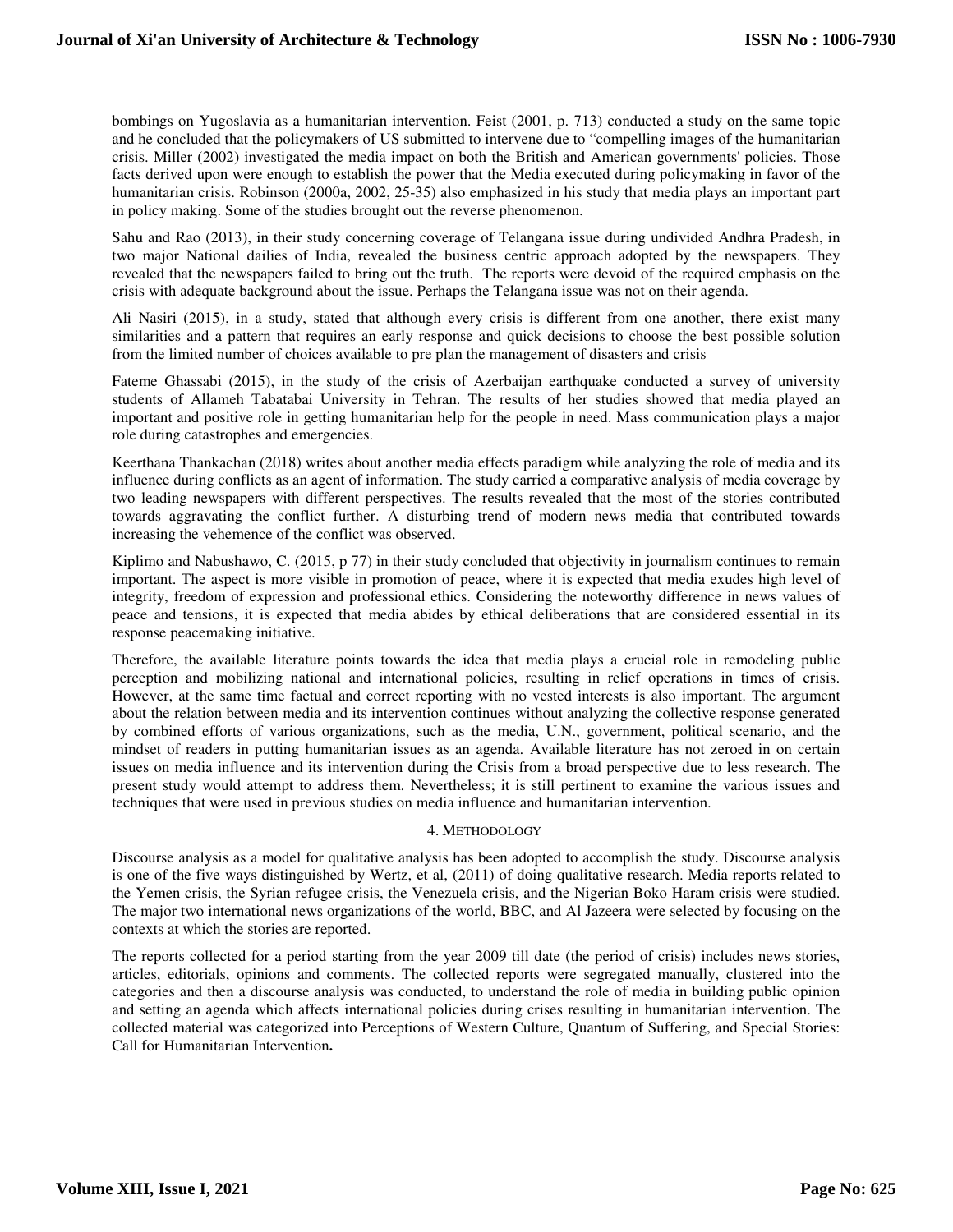bombings on Yugoslavia as a humanitarian intervention. Feist (2001, p. 713) conducted a study on the same topic and he concluded that the policymakers of US submitted to intervene due to "compelling images of the humanitarian crisis. Miller (2002) investigated the media impact on both the British and American governments' policies. Those facts derived upon were enough to establish the power that the Media executed during policymaking in favor of the humanitarian crisis. Robinson (2000a, 2002, 25-35) also emphasized in his study that media plays an important part in policy making. Some of the studies brought out the reverse phenomenon.

Sahu and Rao (2013), in their study concerning coverage of Telangana issue during undivided Andhra Pradesh, in two major National dailies of India, revealed the business centric approach adopted by the newspapers. They revealed that the newspapers failed to bring out the truth. The reports were devoid of the required emphasis on the crisis with adequate background about the issue. Perhaps the Telangana issue was not on their agenda.

Ali Nasiri (2015), in a study, stated that although every crisis is different from one another, there exist many similarities and a pattern that requires an early response and quick decisions to choose the best possible solution from the limited number of choices available to pre plan the management of disasters and crisis

Fateme Ghassabi (2015), in the study of the crisis of Azerbaijan earthquake conducted a survey of university students of Allameh Tabatabai University in Tehran. The results of her studies showed that media played an important and positive role in getting humanitarian help for the people in need. Mass communication plays a major role during catastrophes and emergencies.

Keerthana Thankachan (2018) writes about another media effects paradigm while analyzing the role of media and its influence during conflicts as an agent of information. The study carried a comparative analysis of media coverage by two leading newspapers with different perspectives. The results revealed that the most of the stories contributed towards aggravating the conflict further. A disturbing trend of modern news media that contributed towards increasing the vehemence of the conflict was observed.

Kiplimo and Nabushawo, C. (2015, p 77) in their study concluded that objectivity in journalism continues to remain important. The aspect is more visible in promotion of peace, where it is expected that media exudes high level of integrity, freedom of expression and professional ethics. Considering the noteworthy difference in news values of peace and tensions, it is expected that media abides by ethical deliberations that are considered essential in its response peacemaking initiative.

Therefore, the available literature points towards the idea that media plays a crucial role in remodeling public perception and mobilizing national and international policies, resulting in relief operations in times of crisis. However, at the same time factual and correct reporting with no vested interests is also important. The argument about the relation between media and its intervention continues without analyzing the collective response generated by combined efforts of various organizations, such as the media, U.N., government, political scenario, and the mindset of readers in putting humanitarian issues as an agenda. Available literature has not zeroed in on certain issues on media influence and its intervention during the Crisis from a broad perspective due to less research. The present study would attempt to address them. Nevertheless; it is still pertinent to examine the various issues and techniques that were used in previous studies on media influence and humanitarian intervention.

## 4. METHODOLOGY

Discourse analysis as a model for qualitative analysis has been adopted to accomplish the study. Discourse analysis is one of the five ways distinguished by Wertz, et al, (2011) of doing qualitative research. Media reports related to the Yemen crisis, the Syrian refugee crisis, the Venezuela crisis, and the Nigerian Boko Haram crisis were studied. The major two international news organizations of the world, BBC, and Al Jazeera were selected by focusing on the contexts at which the stories are reported.

The reports collected for a period starting from the year 2009 till date (the period of crisis) includes news stories, articles, editorials, opinions and comments. The collected reports were segregated manually, clustered into the categories and then a discourse analysis was conducted, to understand the role of media in building public opinion and setting an agenda which affects international policies during crises resulting in humanitarian intervention. The collected material was categorized into Perceptions of Western Culture, Quantum of Suffering, and Special Stories: Call for Humanitarian Intervention**.**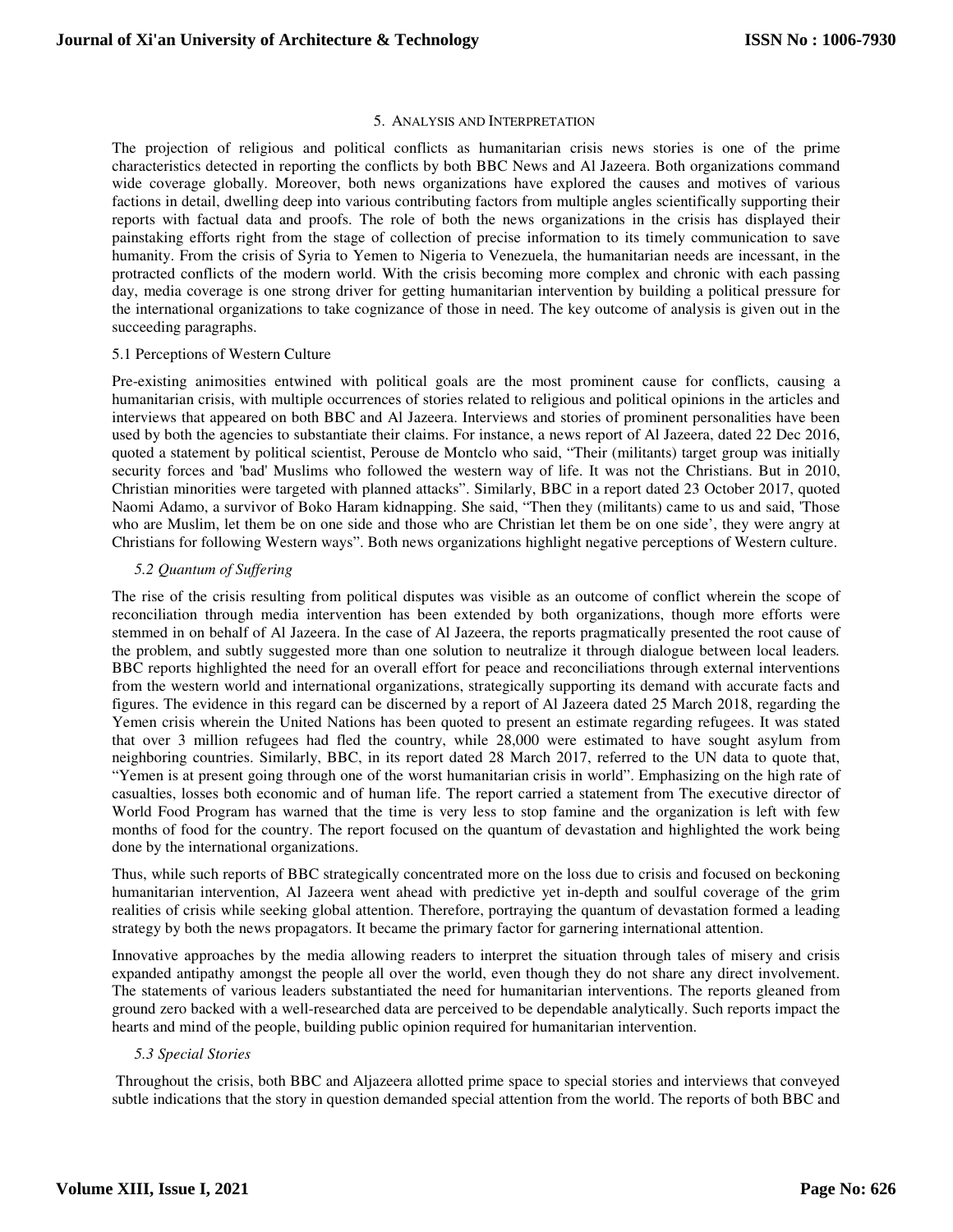#### 5. ANALYSIS AND INTERPRETATION

The projection of religious and political conflicts as humanitarian crisis news stories is one of the prime characteristics detected in reporting the conflicts by both BBC News and Al Jazeera. Both organizations command wide coverage globally. Moreover, both news organizations have explored the causes and motives of various factions in detail, dwelling deep into various contributing factors from multiple angles scientifically supporting their reports with factual data and proofs. The role of both the news organizations in the crisis has displayed their painstaking efforts right from the stage of collection of precise information to its timely communication to save humanity. From the crisis of Syria to Yemen to Nigeria to Venezuela, the humanitarian needs are incessant, in the protracted conflicts of the modern world. With the crisis becoming more complex and chronic with each passing day, media coverage is one strong driver for getting humanitarian intervention by building a political pressure for the international organizations to take cognizance of those in need. The key outcome of analysis is given out in the succeeding paragraphs.

#### 5.1 Perceptions of Western Culture

Pre-existing animosities entwined with political goals are the most prominent cause for conflicts, causing a humanitarian crisis, with multiple occurrences of stories related to religious and political opinions in the articles and interviews that appeared on both BBC and Al Jazeera. Interviews and stories of prominent personalities have been used by both the agencies to substantiate their claims. For instance, a news report of Al Jazeera, dated 22 Dec 2016, quoted a statement by political scientist, Perouse de Montclo who said, "Their (militants) target group was initially security forces and 'bad' Muslims who followed the western way of life. It was not the Christians. But in 2010, Christian minorities were targeted with planned attacks". Similarly, BBC in a report dated 23 October 2017, quoted Naomi Adamo, a survivor of Boko Haram kidnapping. She said, "Then they (militants) came to us and said, 'Those who are Muslim, let them be on one side and those who are Christian let them be on one side', they were angry at Christians for following Western ways". Both news organizations highlight negative perceptions of Western culture.

#### *5.2 Quantum of Suffering*

The rise of the crisis resulting from political disputes was visible as an outcome of conflict wherein the scope of reconciliation through media intervention has been extended by both organizations, though more efforts were stemmed in on behalf of Al Jazeera. In the case of Al Jazeera, the reports pragmatically presented the root cause of the problem, and subtly suggested more than one solution to neutralize it through dialogue between local leaders*.*  BBC reports highlighted the need for an overall effort for peace and reconciliations through external interventions from the western world and international organizations, strategically supporting its demand with accurate facts and figures. The evidence in this regard can be discerned by a report of Al Jazeera dated 25 March 2018, regarding the Yemen crisis wherein the United Nations has been quoted to present an estimate regarding refugees. It was stated that over 3 million refugees had fled the country, while 28,000 were estimated to have sought asylum from neighboring countries. Similarly, BBC, in its report dated 28 March 2017, referred to the UN data to quote that, "Yemen is at present going through one of the worst humanitarian crisis in world". Emphasizing on the high rate of casualties, losses both economic and of human life. The report carried a statement from The executive director of World Food Program has warned that the time is very less to stop famine and the organization is left with few months of food for the country. The report focused on the quantum of devastation and highlighted the work being done by the international organizations.

Thus, while such reports of BBC strategically concentrated more on the loss due to crisis and focused on beckoning humanitarian intervention, Al Jazeera went ahead with predictive yet in-depth and soulful coverage of the grim realities of crisis while seeking global attention. Therefore, portraying the quantum of devastation formed a leading strategy by both the news propagators. It became the primary factor for garnering international attention.

Innovative approaches by the media allowing readers to interpret the situation through tales of misery and crisis expanded antipathy amongst the people all over the world, even though they do not share any direct involvement. The statements of various leaders substantiated the need for humanitarian interventions. The reports gleaned from ground zero backed with a well-researched data are perceived to be dependable analytically. Such reports impact the hearts and mind of the people, building public opinion required for humanitarian intervention.

## *5.3 Special Stories*

 Throughout the crisis, both BBC and Aljazeera allotted prime space to special stories and interviews that conveyed subtle indications that the story in question demanded special attention from the world. The reports of both BBC and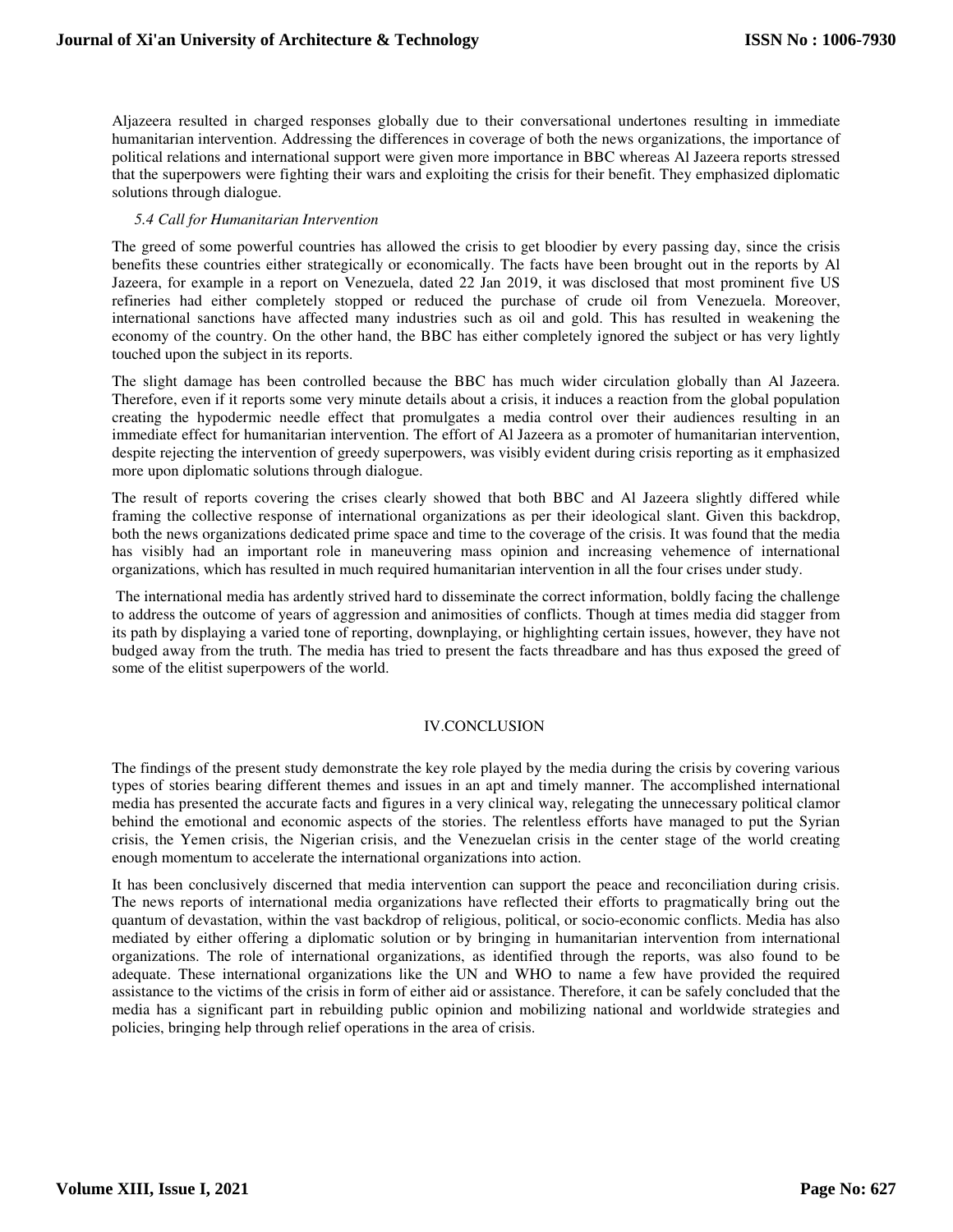Aljazeera resulted in charged responses globally due to their conversational undertones resulting in immediate humanitarian intervention. Addressing the differences in coverage of both the news organizations, the importance of political relations and international support were given more importance in BBC whereas Al Jazeera reports stressed that the superpowers were fighting their wars and exploiting the crisis for their benefit. They emphasized diplomatic solutions through dialogue.

## *5.4 Call for Humanitarian Intervention*

The greed of some powerful countries has allowed the crisis to get bloodier by every passing day, since the crisis benefits these countries either strategically or economically. The facts have been brought out in the reports by Al Jazeera, for example in a report on Venezuela, dated 22 Jan 2019, it was disclosed that most prominent five US refineries had either completely stopped or reduced the purchase of crude oil from Venezuela. Moreover, international sanctions have affected many industries such as oil and gold. This has resulted in weakening the economy of the country. On the other hand, the BBC has either completely ignored the subject or has very lightly touched upon the subject in its reports.

The slight damage has been controlled because the BBC has much wider circulation globally than Al Jazeera. Therefore, even if it reports some very minute details about a crisis, it induces a reaction from the global population creating the hypodermic needle effect that promulgates a media control over their audiences resulting in an immediate effect for humanitarian intervention. The effort of Al Jazeera as a promoter of humanitarian intervention, despite rejecting the intervention of greedy superpowers, was visibly evident during crisis reporting as it emphasized more upon diplomatic solutions through dialogue.

The result of reports covering the crises clearly showed that both BBC and Al Jazeera slightly differed while framing the collective response of international organizations as per their ideological slant. Given this backdrop, both the news organizations dedicated prime space and time to the coverage of the crisis. It was found that the media has visibly had an important role in maneuvering mass opinion and increasing vehemence of international organizations, which has resulted in much required humanitarian intervention in all the four crises under study.

 The international media has ardently strived hard to disseminate the correct information, boldly facing the challenge to address the outcome of years of aggression and animosities of conflicts. Though at times media did stagger from its path by displaying a varied tone of reporting, downplaying, or highlighting certain issues, however, they have not budged away from the truth. The media has tried to present the facts threadbare and has thus exposed the greed of some of the elitist superpowers of the world.

## IV.CONCLUSION

The findings of the present study demonstrate the key role played by the media during the crisis by covering various types of stories bearing different themes and issues in an apt and timely manner. The accomplished international media has presented the accurate facts and figures in a very clinical way, relegating the unnecessary political clamor behind the emotional and economic aspects of the stories. The relentless efforts have managed to put the Syrian crisis, the Yemen crisis, the Nigerian crisis, and the Venezuelan crisis in the center stage of the world creating enough momentum to accelerate the international organizations into action.

It has been conclusively discerned that media intervention can support the peace and reconciliation during crisis. The news reports of international media organizations have reflected their efforts to pragmatically bring out the quantum of devastation, within the vast backdrop of religious, political, or socio-economic conflicts. Media has also mediated by either offering a diplomatic solution or by bringing in humanitarian intervention from international organizations. The role of international organizations, as identified through the reports, was also found to be adequate. These international organizations like the UN and WHO to name a few have provided the required assistance to the victims of the crisis in form of either aid or assistance. Therefore, it can be safely concluded that the media has a significant part in rebuilding public opinion and mobilizing national and worldwide strategies and policies, bringing help through relief operations in the area of crisis.